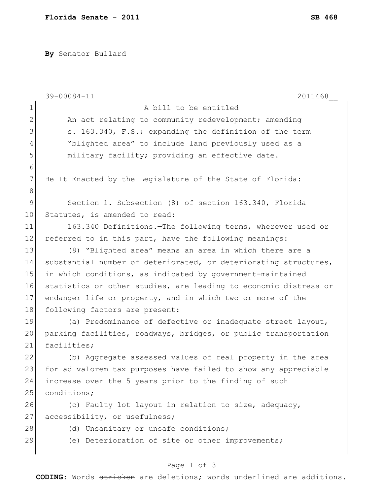**By** Senator Bullard

|             | 39-00084-11<br>2011468                                           |
|-------------|------------------------------------------------------------------|
| 1           | A bill to be entitled                                            |
| 2           | An act relating to community redevelopment; amending             |
| 3           | s. 163.340, F.S.; expanding the definition of the term           |
| 4           | "blighted area" to include land previously used as a             |
| 5           | military facility; providing an effective date.                  |
| 6           |                                                                  |
| 7           | Be It Enacted by the Legislature of the State of Florida:        |
| 8           |                                                                  |
| $\mathsf 9$ | Section 1. Subsection (8) of section 163.340, Florida            |
| 10          | Statutes, is amended to read:                                    |
| 11          | 163.340 Definitions. The following terms, wherever used or       |
| 12          | referred to in this part, have the following meanings:           |
| 13          | (8) "Blighted area" means an area in which there are a           |
| 14          | substantial number of deteriorated, or deteriorating structures, |
| 15          | in which conditions, as indicated by government-maintained       |
| 16          | statistics or other studies, are leading to economic distress or |
| 17          | endanger life or property, and in which two or more of the       |
| 18          | following factors are present:                                   |
| 19          | (a) Predominance of defective or inadequate street layout,       |
| 20          | parking facilities, roadways, bridges, or public transportation  |
| 21          | facilities;                                                      |
| 22          | (b) Aggregate assessed values of real property in the area       |
| 23          | for ad valorem tax purposes have failed to show any appreciable  |
| 24          | increase over the 5 years prior to the finding of such           |
| 25          | conditions;                                                      |
| 26          | (c) Faulty lot layout in relation to size, adequacy,             |
| 27          | accessibility, or usefulness;                                    |
| 28          | (d) Unsanitary or unsafe conditions;                             |
| 29          | (e) Deterioration of site or other improvements;                 |
|             |                                                                  |

## Page 1 of 3

**CODING**: Words stricken are deletions; words underlined are additions.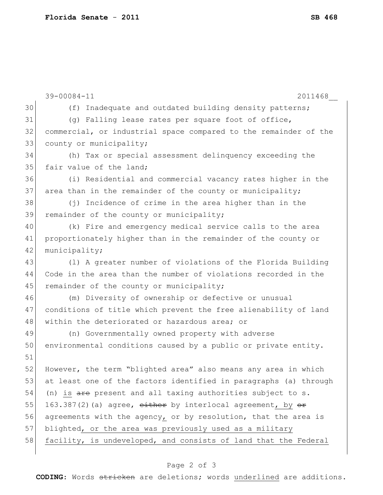|    | 39-00084-11<br>2011468                                                         |
|----|--------------------------------------------------------------------------------|
| 30 | (f) Inadequate and outdated building density patterns;                         |
| 31 | (g) Falling lease rates per square foot of office,                             |
| 32 | commercial, or industrial space compared to the remainder of the               |
| 33 | county or municipality;                                                        |
| 34 | (h) Tax or special assessment delinquency exceeding the                        |
| 35 | fair value of the land;                                                        |
| 36 | (i) Residential and commercial vacancy rates higher in the                     |
| 37 | area than in the remainder of the county or municipality;                      |
| 38 | (j) Incidence of crime in the area higher than in the                          |
| 39 | remainder of the county or municipality;                                       |
| 40 | (k) Fire and emergency medical service calls to the area                       |
| 41 | proportionately higher than in the remainder of the county or                  |
| 42 | municipality;                                                                  |
| 43 | (1) A greater number of violations of the Florida Building                     |
| 44 | Code in the area than the number of violations recorded in the                 |
| 45 | remainder of the county or municipality;                                       |
| 46 | (m) Diversity of ownership or defective or unusual                             |
| 47 | conditions of title which prevent the free alienability of land                |
| 48 | within the deteriorated or hazardous area; or                                  |
| 49 | (n) Governmentally owned property with adverse                                 |
| 50 | environmental conditions caused by a public or private entity.                 |
| 51 |                                                                                |
| 52 | However, the term "blighted area" also means any area in which                 |
| 53 | at least one of the factors identified in paragraphs (a) through               |
| 54 | (n) is $\frac{1}{\sqrt{1-x}}$ present and all taxing authorities subject to s. |
| 55 | 163.387(2)(a) agree, either by interlocal agreement, by <del>or</del>          |
| 56 | agreements with the agency, or by resolution, that the area is                 |
| 57 | blighted, or the area was previously used as a military                        |
| 58 | facility, is undeveloped, and consists of land that the Federal                |

## Page 2 of 3

**CODING**: Words stricken are deletions; words underlined are additions.